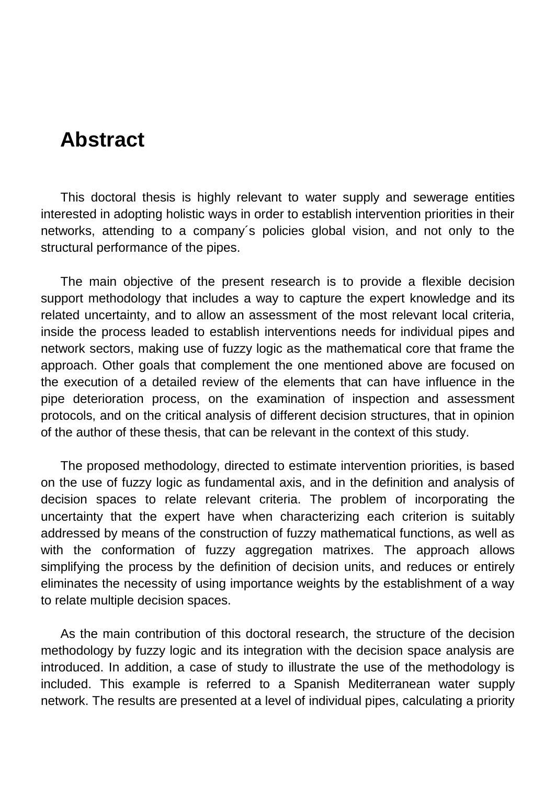## **Abstract**

This doctoral thesis is highly relevant to water supply and sewerage entities interested in adopting holistic ways in order to establish intervention priorities in their networks, attending to a company´s policies global vision, and not only to the structural performance of the pipes.

The main objective of the present research is to provide a flexible decision support methodology that includes a way to capture the expert knowledge and its related uncertainty, and to allow an assessment of the most relevant local criteria, inside the process leaded to establish interventions needs for individual pipes and network sectors, making use of fuzzy logic as the mathematical core that frame the approach. Other goals that complement the one mentioned above are focused on the execution of a detailed review of the elements that can have influence in the pipe deterioration process, on the examination of inspection and assessment protocols, and on the critical analysis of different decision structures, that in opinion of the author of these thesis, that can be relevant in the context of this study.

The proposed methodology, directed to estimate intervention priorities, is based on the use of fuzzy logic as fundamental axis, and in the definition and analysis of decision spaces to relate relevant criteria. The problem of incorporating the uncertainty that the expert have when characterizing each criterion is suitably addressed by means of the construction of fuzzy mathematical functions, as well as with the conformation of fuzzy aggregation matrixes. The approach allows simplifying the process by the definition of decision units, and reduces or entirely eliminates the necessity of using importance weights by the establishment of a way to relate multiple decision spaces.

As the main contribution of this doctoral research, the structure of the decision methodology by fuzzy logic and its integration with the decision space analysis are introduced. In addition, a case of study to illustrate the use of the methodology is included. This example is referred to a Spanish Mediterranean water supply network. The results are presented at a level of individual pipes, calculating a priority